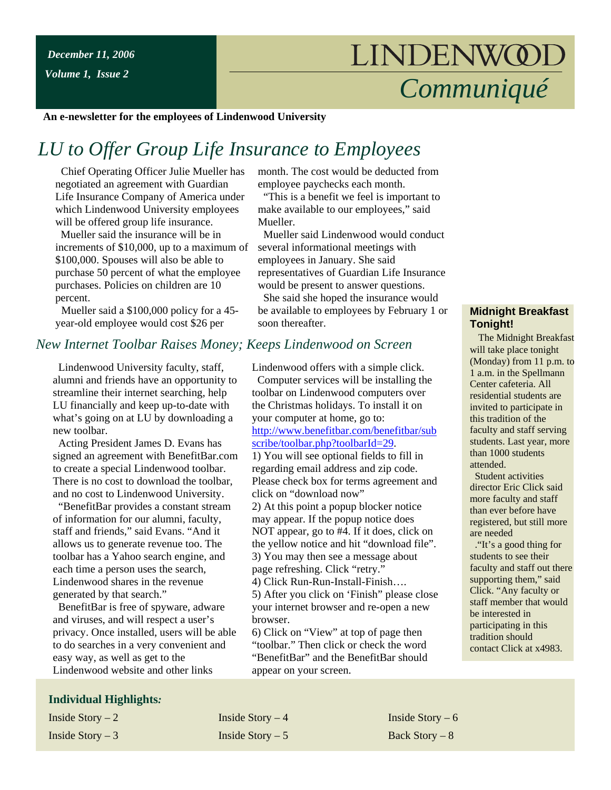# *Communiqué*

**An e-newsletter for the employees of Lindenwood University**

## *LU to Offer Group Life Insurance to Employees*

 Chief Operating Officer Julie Mueller has negotiated an agreement with Guardian Life Insurance Company of America under which Lindenwood University employees will be offered group life insurance.

 Mueller said the insurance will be in increments of \$10,000, up to a maximum of \$100,000. Spouses will also be able to purchase 50 percent of what the employee purchases. Policies on children are 10 percent.

 Mueller said a \$100,000 policy for a 45 year-old employee would cost \$26 per

#### *New Internet Toolbar Raises Money; Keeps Lindenwood on Screen*

 Lindenwood University faculty, staff, alumni and friends have an opportunity to streamline their internet searching, help LU financially and keep up-to-date with what's going on at LU by downloading a new toolbar.

 Acting President James D. Evans has signed an agreement with BenefitBar.com to create a special Lindenwood toolbar. There is no cost to download the toolbar, and no cost to Lindenwood University.

 "BenefitBar provides a constant stream of information for our alumni, faculty, staff and friends," said Evans. "And it allows us to generate revenue too. The toolbar has a Yahoo search engine, and each time a person uses the search, Lindenwood shares in the revenue generated by that search."

 BenefitBar is free of spyware, adware and viruses, and will respect a user's privacy. Once installed, users will be able to do searches in a very convenient and easy way, as well as get to the Lindenwood website and other links

#### **Individual Highlights***:*

month. The cost would be deducted from employee paychecks each month.

 "This is a benefit we feel is important to make available to our employees," said Mueller.

 Mueller said Lindenwood would conduct several informational meetings with employees in January. She said representatives of Guardian Life Insurance would be present to answer questions.

 She said she hoped the insurance would be available to employees by February 1 or soon thereafter.

Lindenwood offers with a simple click. Computer services will be installing the toolbar on Lindenwood computers over the Christmas holidays. To install it on your computer at home, go to: [http://www.benefitbar.com/benefitbar/sub](http://www.benefitbar.com/benefitbar/subscribe/toolbar.php?toolbarId=29) [scribe/toolbar.php?toolbarId=29.](http://www.benefitbar.com/benefitbar/subscribe/toolbar.php?toolbarId=29) 1) You will see optional fields to fill in regarding email address and zip code. Please check box for terms agreement and click on "download now" 2) At this point a popup blocker notice may appear. If the popup notice does NOT appear, go to #4. If it does, click on the yellow notice and hit "download file". 3) You may then see a message about page refreshing. Click "retry." 4) Click Run-Run-Install-Finish…. 5) After you click on 'Finish" please close your internet browser and re-open a new browser.

6) Click on "View" at top of page then "toolbar." Then click or check the word "BenefitBar" and the BenefitBar should appear on your screen.

#### **Midnight Breakfast Tonight!**

 The Midnight Breakfast will take place tonight (Monday) from 11 p.m. to 1 a.m. in the Spellmann Center cafeteria. All residential students are invited to participate in this tradition of the faculty and staff serving students. Last year, more than 1000 students attended.

 Student activities director Eric Click said more faculty and staff than ever before have registered, but still more are needed

 ."It's a good thing for students to see their faculty and staff out there supporting them," said Click. "Any faculty or staff member that would be interested in participating in this tradition should contact Click at x4983.

Inside Story – 2 Inside Story – 4 Inside Story – 6 Inside Story – 3 Inside Story – 5 Back Story – 8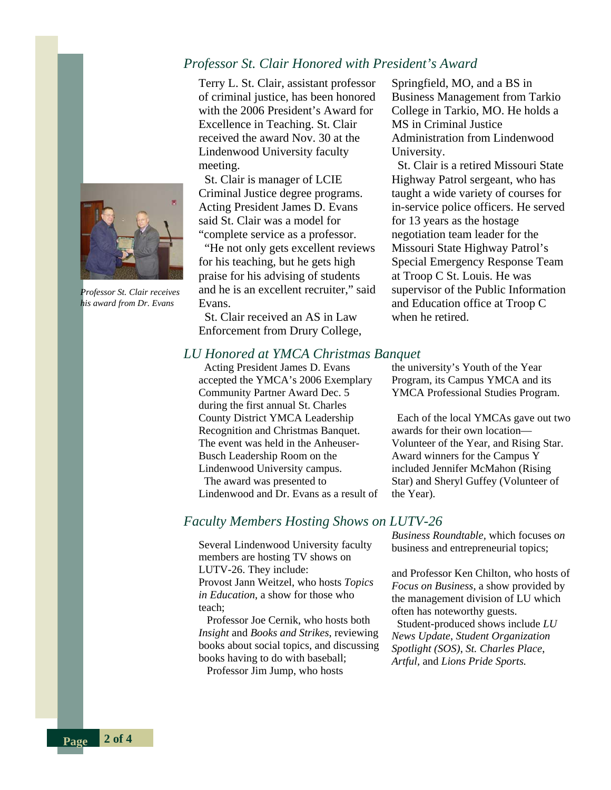#### *Professor St. Clair Honored with President's Award*

Terry L. St. Clair, assistant professor of criminal justice, has been honored with the 2006 President's Award for Excellence in Teaching. St. Clair received the award Nov. 30 at the Lindenwood University faculty meeting.

 St. Clair is manager of LCIE Criminal Justice degree programs. Acting President James D. Evans said St. Clair was a model for "complete service as a professor.

 "He not only gets excellent reviews for his teaching, but he gets high praise for his advising of students and he is an excellent recruiter," said Evans.

 St. Clair received an AS in Law Enforcement from Drury College,

Springfield, MO, and a BS in Business Management from Tarkio College in Tarkio, MO. He holds a MS in Criminal Justice Administration from Lindenwood University.

 St. Clair is a retired Missouri State Highway Patrol sergeant, who has taught a wide variety of courses for in-service police officers. He served for 13 years as the hostage negotiation team leader for the Missouri State Highway Patrol's Special Emergency Response Team at Troop C St. Louis. He was supervisor of the Public Information and Education office at Troop C when he retired.

#### *LU Honored at YMCA Christmas Banquet*

 Acting President James D. Evans accepted the YMCA's 2006 Exemplary Community Partner Award Dec. 5 during the first annual St. Charles County District YMCA Leadership Recognition and Christmas Banquet. The event was held in the Anheuser-Busch Leadership Room on the Lindenwood University campus. The award was presented to Lindenwood and Dr. Evans as a result of the university's Youth of the Year Program, its Campus YMCA and its YMCA Professional Studies Program.

 Each of the local YMCAs gave out two awards for their own location— Volunteer of the Year, and Rising Star. Award winners for the Campus Y included Jennifer McMahon (Rising Star) and Sheryl Guffey (Volunteer of the Year).

#### *Faculty Members Hosting Shows on LUTV-26*

Several Lindenwood University faculty members are hosting TV shows on LUTV-26. They include: Provost Jann Weitzel, who hosts *Topics in Education*, a show for those who teach;

 Professor Joe Cernik, who hosts both *Insight* and *Books and Strikes*, reviewing books about social topics, and discussing books having to do with baseball; Professor Jim Jump, who hosts

*Business Roundtable,* which focuses o*n* business and entrepreneurial topics;

and Professor Ken Chilton, who hosts of *Focus on Business*, a show provided by the management division of LU which often has noteworthy guests.

 Student-produced shows include *LU News Update*, *Student Organization Spotlight (SOS)*, *St. Charles Place*, *Artful,* and *Lions Pride Sports.*



*Professor St. Clair receives his award from Dr. Evans* 

**Page 2 of 4**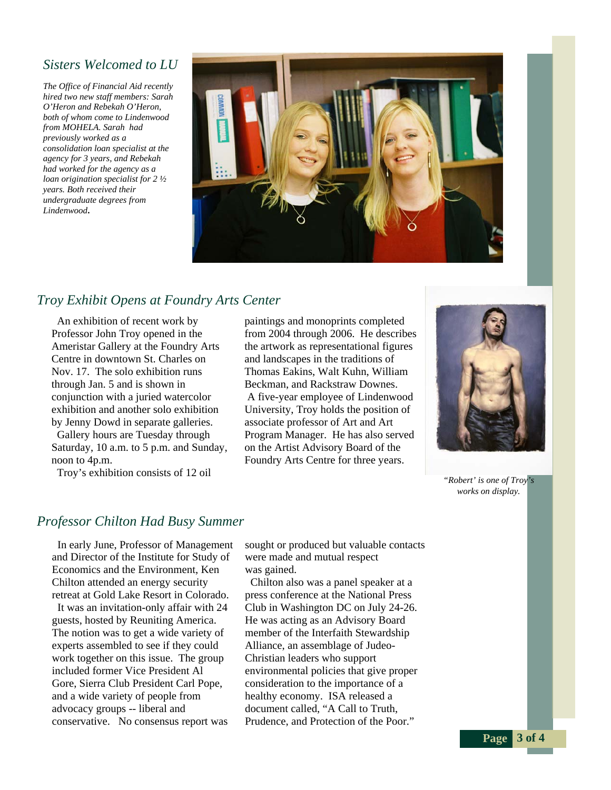#### *Sisters Welcomed to LU*

*The Office of Financial Aid recently hired two new staff members: Sarah O'Heron and Rebekah O'Heron, both of whom come to Lindenwood from MOHELA. Sarah had previously worked as a consolidation loan specialist at the agency for 3 years, and Rebekah had worked for the agency as a loan origination specialist for 2 ½ years. Both received their undergraduate degrees from Lindenwood***.** 



#### *Troy Exhibit Opens at Foundry Arts Center*

 An exhibition of recent work by Professor John Troy opened in the Ameristar Gallery at the Foundry Arts Centre in downtown St. Charles on Nov. 17. The solo exhibition runs through Jan. 5 and is shown in conjunction with a juried watercolor exhibition and another solo exhibition by Jenny Dowd in separate galleries. Gallery hours are Tuesday through Saturday, 10 a.m. to 5 p.m. and Sunday, noon to 4p.m.

Troy's exhibition consists of 12 oil

paintings and monoprints completed from 2004 through 2006. He describes the artwork as representational figures and landscapes in the traditions of Thomas Eakins, Walt Kuhn, William Beckman, and Rackstraw Downes. A five-year employee of Lindenwood University, Troy holds the position of associate professor of Art and Art Program Manager. He has also served on the Artist Advisory Board of the Foundry Arts Centre for three years.



*"Robert' is one of Troy's works on display.*

**Page 3 of 4** 

#### *Professor Chilton Had Busy Summer*

 In early June, Professor of Management and Director of the Institute for Study of Economics and the Environment, Ken Chilton attended an energy security retreat at Gold Lake Resort in Colorado.

 It was an invitation-only affair with 24 guests, hosted by Reuniting America. The notion was to get a wide variety of experts assembled to see if they could work together on this issue. The group included former Vice President Al Gore, Sierra Club President Carl Pope, and a wide variety of people from advocacy groups -- liberal and conservative. No consensus report was

sought or produced but valuable contacts were made and mutual respect was gained.

 Chilton also was a panel speaker at a press conference at the National Press Club in Washington DC on July 24-26. He was acting as an Advisory Board member of the Interfaith Stewardship Alliance, an assemblage of Judeo-Christian leaders who support environmental policies that give proper consideration to the importance of a healthy economy. ISA released a document called, "A Call to Truth, Prudence, and Protection of the Poor."